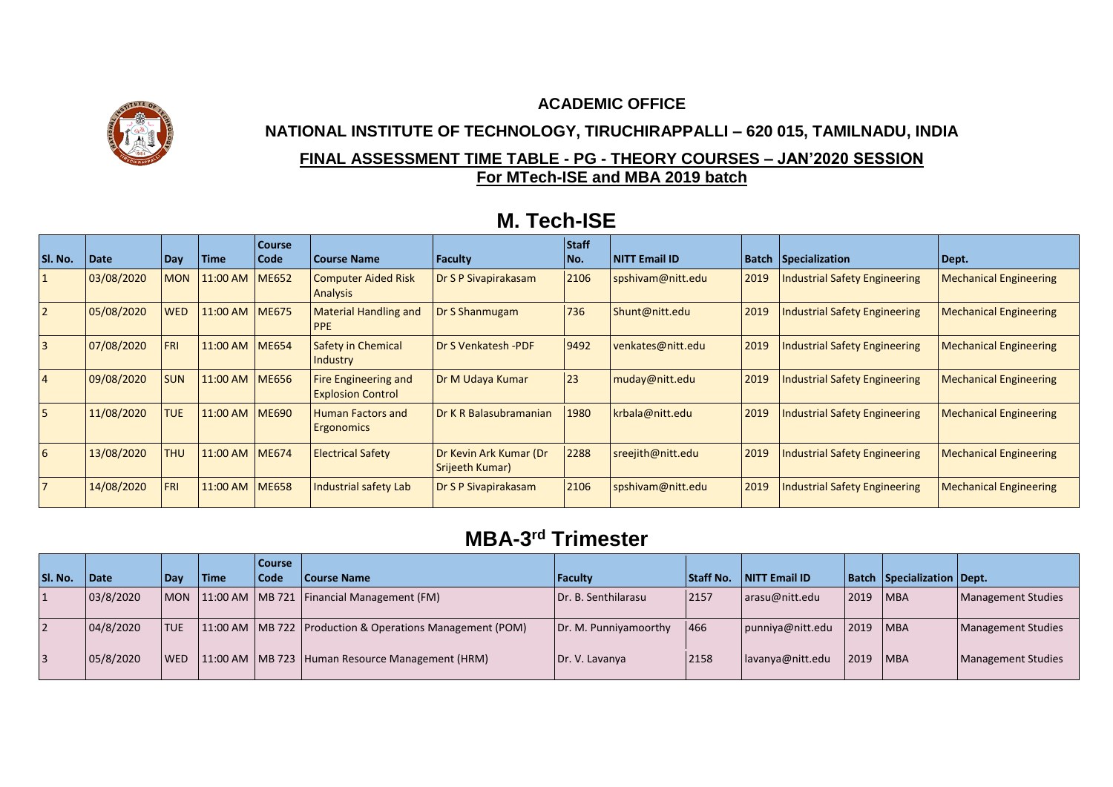## **ACADEMIC OFFICE**



## **NATIONAL INSTITUTE OF TECHNOLOGY, TIRUCHIRAPPALLI – 620 015, TAMILNADU, INDIA FINAL ASSESSMENT TIME TABLE - PG - THEORY COURSES – JAN'2020 SESSION**

**For MTech-ISE and MBA 2019 batch**

| Sl. No.        | Date       | Day        | <b>Time</b>      | <b>Course</b><br>l Code | Course Name                                             | Faculty                                   | <b>Staff</b><br>No. | <b>NITT Email ID</b> |      | <b>Batch Specialization</b>          | Dept.                         |
|----------------|------------|------------|------------------|-------------------------|---------------------------------------------------------|-------------------------------------------|---------------------|----------------------|------|--------------------------------------|-------------------------------|
|                | 03/08/2020 | <b>MON</b> | 11:00 AM   ME652 |                         | <b>Computer Aided Risk</b><br><b>Analysis</b>           | Dr S P Sivapirakasam                      | 2106                | spshivam@nitt.edu    | 2019 | <b>Industrial Safety Engineering</b> | <b>Mechanical Engineering</b> |
| $\overline{2}$ | 05/08/2020 | <b>WED</b> | 11:00 AM ME675   |                         | Material Handling and<br><b>PPE</b>                     | Dr S Shanmugam                            | 736                 | Shunt@nitt.edu       | 2019 | <b>Industrial Safety Engineering</b> | <b>Mechanical Engineering</b> |
| $\overline{3}$ | 07/08/2020 | <b>FRI</b> | 11:00 AM   ME654 |                         | Safety in Chemical<br>Industry                          | Dr S Venkatesh -PDF                       | 9492                | venkates@nitt.edu    | 2019 | <b>Industrial Safety Engineering</b> | <b>Mechanical Engineering</b> |
| 4              | 09/08/2020 | <b>SUN</b> | 11:00 AM   ME656 |                         | <b>Fire Engineering and</b><br><b>Explosion Control</b> | Dr M Udaya Kumar                          | 23                  | muday@nitt.edu       | 2019 | <b>Industrial Safety Engineering</b> | <b>Mechanical Engineering</b> |
| 5              | 11/08/2020 | <b>TUE</b> | 11:00 AM   ME690 |                         | <b>Human Factors and</b><br><b>Ergonomics</b>           | Dr K R Balasubramanian                    | 1980                | krbala@nitt.edu      | 2019 | <b>Industrial Safety Engineering</b> | <b>Mechanical Engineering</b> |
| 6              | 13/08/2020 | <b>THU</b> | 11:00 AM   ME674 |                         | <b>Electrical Safety</b>                                | Dr Kevin Ark Kumar (Dr<br>Srijeeth Kumar) | 2288                | sreejith@nitt.edu    | 2019 | <b>Industrial Safety Engineering</b> | <b>Mechanical Engineering</b> |
| $\overline{7}$ | 14/08/2020 | <b>FRI</b> | 11:00 AM   ME658 |                         | Industrial safety Lab                                   | Dr S P Sivapirakasam                      | 2106                | spshivam@nitt.edu    | 2019 | <b>Industrial Safety Engineering</b> | <b>Mechanical Engineering</b> |

## **M. Tech-ISE**

## **MBA-3 rd Trimester**

| <b>SI. No.</b> | <b>Date</b> | Day        | <b>Time</b> | <b>Course</b><br><b>Code</b> | Course Name                                                  | l Faculty             | <b>Staff No.</b> | <b>NITT Email ID</b> |                | Batch Specialization Dept. |                    |
|----------------|-------------|------------|-------------|------------------------------|--------------------------------------------------------------|-----------------------|------------------|----------------------|----------------|----------------------------|--------------------|
|                | 03/8/2020   |            |             |                              | MON 11:00 AM   MB 721   Financial Management (FM)            | Dr. B. Senthilarasu   | 2157             | arasu@nitt.edu       | 2019           | <b>IMBA</b>                | Management Studies |
|                | 04/8/2020   | <b>TUE</b> |             |                              | 11:00 AM   MB 722   Production & Operations Management (POM) | Dr. M. Punniyamoorthy | 466              | punniya@nitt.edu     | $ 2019\rangle$ | <b>IMBA</b>                | Management Studies |
| $\overline{3}$ | 05/8/2020   | WED        |             |                              | [11:00 AM   MB 723   Human Resource Management (HRM)         | Dr. V. Lavanya        | 2158             | lavanya@nitt.edu     | 2019           | <b>IMBA</b>                | Management Studies |